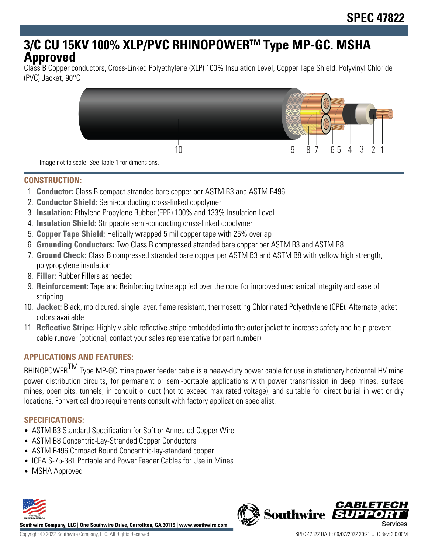# **3/C CU 15KV 100% XLP/PVC RHINOPOWERTM Type MP-GC. MSHA Approved**

Class B Copper conductors, Cross-Linked Polyethylene (XLP) 100% Insulation Level, Copper Tape Shield, Polyvinyl Chloride (PVC) Jacket, 90°C



Image not to scale. See Table 1 for dimensions.

## **CONSTRUCTION:**

- 1. **Conductor:** Class B compact stranded bare copper per ASTM B3 and ASTM B496
- 2. **Conductor Shield:** Semi-conducting cross-linked copolymer
- 3. **Insulation:** Ethylene Propylene Rubber (EPR) 100% and 133% Insulation Level
- 4. **Insulation Shield:** Strippable semi-conducting cross-linked copolymer
- 5. **Copper Tape Shield:** Helically wrapped 5 mil copper tape with 25% overlap
- 6. **Grounding Conductors:** Two Class B compressed stranded bare copper per ASTM B3 and ASTM B8
- 7. **Ground Check:** Class B compressed stranded bare copper per ASTM B3 and ASTM B8 with yellow high strength, polypropylene insulation
- 8. **Filler:** Rubber Fillers as needed
- 9. **Reinforcement:** Tape and Reinforcing twine applied over the core for improved mechanical integrity and ease of stripping
- 10. **Jacket:** Black, mold cured, single layer, flame resistant, thermosetting Chlorinated Polyethylene (CPE). Alternate jacket colors available
- 11. **Reflective Stripe:** Highly visible reflective stripe embedded into the outer jacket to increase safety and help prevent cable runover (optional, contact your sales representative for part number)

## **APPLICATIONS AND FEATURES:**

RHINOPOWER<sup>TM</sup> Type MP-GC mine power feeder cable is a heavy-duty power cable for use in stationary horizontal HV mine power distribution circuits, for permanent or semi-portable applications with power transmission in deep mines, surface mines, open pits, tunnels, in conduit or duct (not to exceed max rated voltage), and suitable for direct burial in wet or dry locations. For vertical drop requirements consult with factory application specialist.

## **SPECIFICATIONS:**

- ASTM B3 Standard Specification for Soft or Annealed Copper Wire
- ASTM B8 Concentric-Lay-Stranded Copper Conductors
- ASTM B496 Compact Round Concentric-lay-standard copper
- ICEA S-75-381 Portable and Power Feeder Cables for Use in Mines
- MSHA Approved



**Southwire Company, LLC | One Southwire Drive, Carrollton, GA 30119 | www.southwire.com**